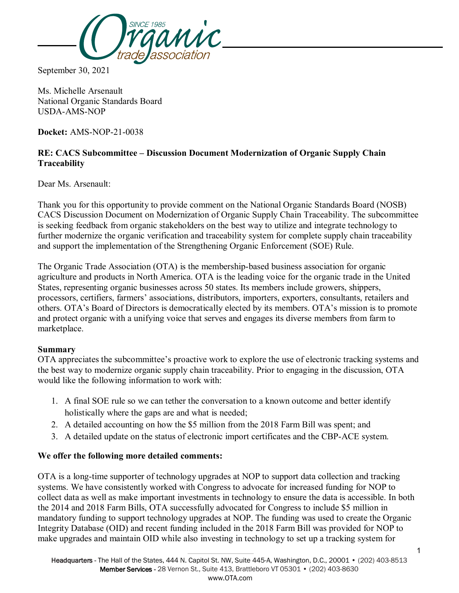

September 30, 2021

Ms. Michelle Arsenault National Organic Standards Board USDA-AMS-NOP

**Docket:** AMS-NOP-21-0038

## **RE: CACS Subcommittee – Discussion Document Modernization of Organic Supply Chain Traceability**

Dear Ms. Arsenault:

Thank you for this opportunity to provide comment on the National Organic Standards Board (NOSB) CACS Discussion Document on Modernization of Organic Supply Chain Traceability. The subcommittee is seeking feedback from organic stakeholders on the best way to utilize and integrate technology to further modernize the organic verification and traceability system for complete supply chain traceability and support the implementation of the Strengthening Organic Enforcement (SOE) Rule.

The Organic Trade Association (OTA) is the membership-based business association for organic agriculture and products in North America. OTA is the leading voice for the organic trade in the United States, representing organic businesses across 50 states. Its members include growers, shippers, processors, certifiers, farmers' associations, distributors, importers, exporters, consultants, retailers and others. OTA's Board of Directors is democratically elected by its members. OTA's mission is to promote and protect organic with a unifying voice that serves and engages its diverse members from farm to marketplace.

## **Summary**

OTA appreciates the subcommittee's proactive work to explore the use of electronic tracking systems and the best way to modernize organic supply chain traceability. Prior to engaging in the discussion, OTA would like the following information to work with:

- 1. A final SOE rule so we can tether the conversation to a known outcome and better identify holistically where the gaps are and what is needed;
- 2. A detailed accounting on how the \$5 million from the 2018 Farm Bill was spent; and
- 3. A detailed update on the status of electronic import certificates and the CBP-ACE system.

## **We offer the following more detailed comments:**

OTA is a long-time supporter of technology upgrades at NOP to support data collection and tracking systems. We have consistently worked with Congress to advocate for increased funding for NOP to collect data as well as make important investments in technology to ensure the data is accessible. In both the 2014 and 2018 Farm Bills, OTA successfully advocated for Congress to include \$5 million in mandatory funding to support technology upgrades at NOP. The funding was used to create the Organic Integrity Database (OID) and recent funding included in the 2018 Farm Bill was provided for NOP to make upgrades and maintain OID while also investing in technology to set up a tracking system for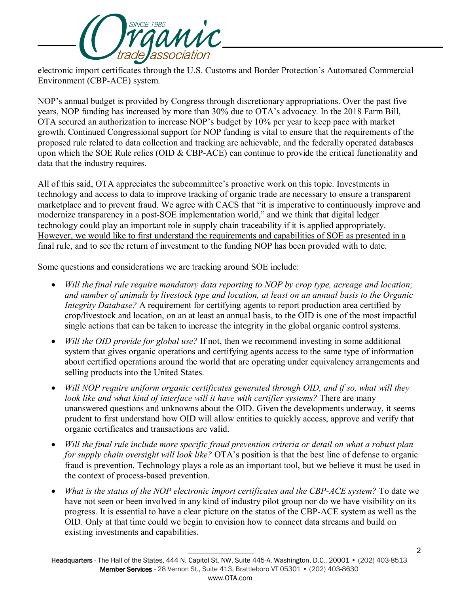

electronic import certificates through the U.S. Customs and Border Protection's Automated Commercial Environment (CBP-ACE) system.

NOP's annual budget is provided by Congress through discretionary appropriations. Over the past five years, NOP funding has increased by more than 30% due to OTA's advocacy. In the 2018 Farm Bill, OTA secured an authorization to increase NOP's budget by 10% per year to keep pace with market growth. Continued Congressional support for NOP funding is vital to ensure that the requirements of the proposed rule related to data collection and tracking are achievable, and the federally operated databases upon which the SOE Rule relies (OID & CBP-ACE) can continue to provide the critical functionality and data that the industry requires.

All of this said, OTA appreciates the subcommittee's proactive work on this topic. Investments in technology and access to data to improve tracking of organic trade are necessary to ensure a transparent marketplace and to prevent fraud. We agree with CACS that "it is imperative to continuously improve and modernize transparency in a post-SOE implementation world," and we think that digital ledger technology could play an important role in supply chain traceability if it is applied appropriately. However, we would like to first understand the requirements and capabilities of SOE as presented in a final rule, and to see the return of investment to the funding NOP has been provided with to date.

Some questions and considerations we are tracking around SOE include:

- *Will the final rule require mandatory data reporting to NOP by crop type, acreage and location; and number of animals by livestock type and location, at least on an annual basis to the Organic Integrity Database?* A requirement for certifying agents to report production area certified by crop/livestock and location, on an at least an annual basis, to the OID is one of the most impactful single actions that can be taken to increase the integrity in the global organic control systems.
- *Will the OID provide for global use?* If not, then we recommend investing in some additional system that gives organic operations and certifying agents access to the same type of information about certified operations around the world that are operating under equivalency arrangements and selling products into the United States.
- *Will NOP require uniform organic certificates generated through OID, and if so, what will they look like and what kind of interface will it have with certifier systems?* There are many unanswered questions and unknowns about the OID. Given the developments underway, it seems prudent to first understand how OID will allow entities to quickly access, approve and verify that organic certificates and transactions are valid.
- *Will the final rule include more specific fraud prevention criteria or detail on what a robust plan for supply chain oversight will look like?* OTA's position is that the best line of defense to organic fraud is prevention. Technology plays a role as an important tool, but we believe it must be used in the context of process-based prevention.
- *What is the status of the NOP electronic import certificates and the CBP-ACE system?* To date we have not seen or been involved in any kind of industry pilot group nor do we have visibility on its progress. It is essential to have a clear picture on the status of the CBP-ACE system as well as the OID. Only at that time could we begin to envision how to connect data streams and build on existing investments and capabilities.